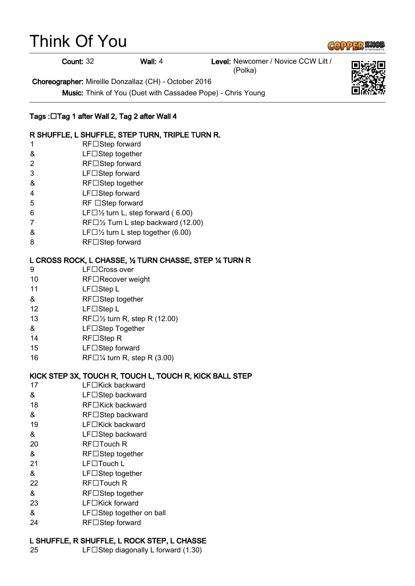# Think Of You



Count: 32 Wall: 4 Level: Newcomer / Novice CCW Lilt / (Polka)

Choreographer: Mireille Donzallaz (CH) - October 2016

Music: Think of You (Duet with Cassadee Pope) - Chris Young

### Tags :⊡Tag 1 after Wall 2, Tag 2 after Wall 4

#### R SHUFFLE, L SHUFFLE, STEP TURN, TRIPLE TURN R.

- 1 RF□Step forward
- & LF□Step together
- 2 RF□Step forward
- 3 LF□Step forward
- & RF□Step together
- 4 LF□Step forward
- 5 RF □Step forward
- 6 LF $\Box$   $\frac{1}{2}$  turn L, step forward (6.00)
- 7 RF $\Box$ 1/2 Turn L step backward (12.00)
- $\&$  LF $\Box\frac{1}{2}$  turn L step together (6.00)
- 8 RF□Step forward

#### L CROSS ROCK, L CHASSE, ½ TURN CHASSE, STEP ¼ TURN R

- 9 LF□Cross over
- 10 RF□Recover weight
- 11 LF□Step L
- & RF□Step together
- 12 LF□Step L
- 13 RF $\Box$   $\frac{1}{2}$  turn R, step R (12.00)
- & LF□Step Together
- 14 RF□Step R
- 15 **LF**□Step forward
- 16 RF $\Box$ <sup>1</sup>/<sub>4</sub> turn R, step R (3.00)

#### KICK STEP 3X, TOUCH R, TOUCH L, TOUCH R, KICK BALL STEP

- $17$  LF $\Box$ Kick backward
- & LF□Step backward
- 18 RF□Kick backward
- & RF□Step backward
- 19  $LF\Box$ Kick backward
- & LF□Step backward
- 20 RF□Touch R
- & RF□Step together
- 21 LF□Touch L
- & LF□Step together
- $22$  RF $\Box$ Touch R
- & RF□Step together
- 23 **LF□Kick forward**
- $&$  LF $\Box$ Step together on ball
- 24 RF□Step forward

#### L SHUFFLE, R SHUFFLE, L ROCK STEP, L CHASSE

25 LF $\Box$ Step diagonally L forward (1.30)